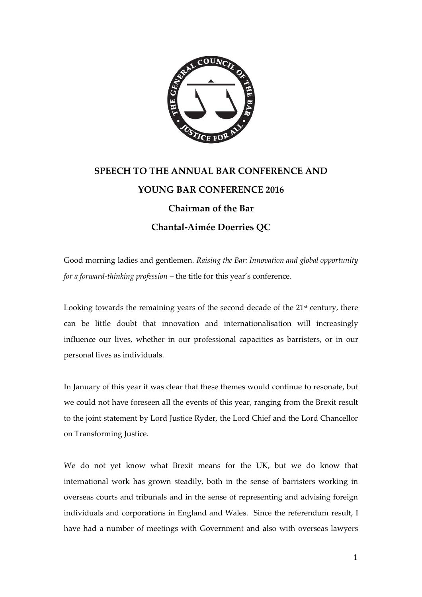

## **SPEECH TO THE ANNUAL BAR CONFERENCE AND YOUNG BAR CONFERENCE 2016 Chairman of the Bar Chantal-Aimée Doerries QC**

Good morning ladies and gentlemen. *Raising the Bar: Innovation and global opportunity for a forward-thinking profession* – the title for this year's conference.

Looking towards the remaining years of the second decade of the  $21<sup>st</sup>$  century, there can be little doubt that innovation and internationalisation will increasingly influence our lives, whether in our professional capacities as barristers, or in our personal lives as individuals.

In January of this year it was clear that these themes would continue to resonate, but we could not have foreseen all the events of this year, ranging from the Brexit result to the joint statement by Lord Justice Ryder, the Lord Chief and the Lord Chancellor on Transforming Justice.

We do not yet know what Brexit means for the UK, but we do know that international work has grown steadily, both in the sense of barristers working in overseas courts and tribunals and in the sense of representing and advising foreign individuals and corporations in England and Wales. Since the referendum result, I have had a number of meetings with Government and also with overseas lawyers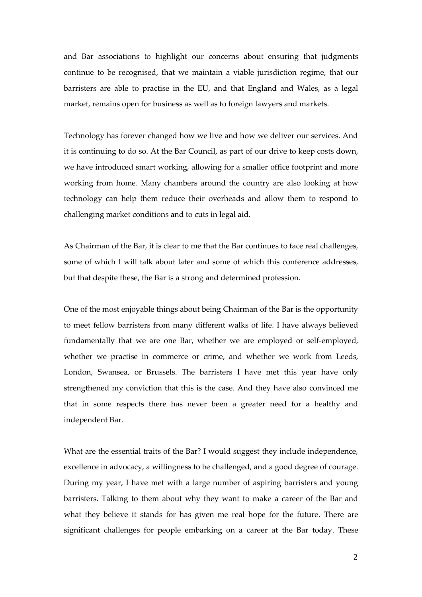and Bar associations to highlight our concerns about ensuring that judgments continue to be recognised, that we maintain a viable jurisdiction regime, that our barristers are able to practise in the EU, and that England and Wales, as a legal market, remains open for business as well as to foreign lawyers and markets.

Technology has forever changed how we live and how we deliver our services. And it is continuing to do so. At the Bar Council, as part of our drive to keep costs down, we have introduced smart working, allowing for a smaller office footprint and more working from home. Many chambers around the country are also looking at how technology can help them reduce their overheads and allow them to respond to challenging market conditions and to cuts in legal aid.

As Chairman of the Bar, it is clear to me that the Bar continues to face real challenges, some of which I will talk about later and some of which this conference addresses, but that despite these, the Bar is a strong and determined profession.

One of the most enjoyable things about being Chairman of the Bar is the opportunity to meet fellow barristers from many different walks of life. I have always believed fundamentally that we are one Bar, whether we are employed or self-employed, whether we practise in commerce or crime, and whether we work from Leeds, London, Swansea, or Brussels. The barristers I have met this year have only strengthened my conviction that this is the case. And they have also convinced me that in some respects there has never been a greater need for a healthy and independent Bar.

What are the essential traits of the Bar? I would suggest they include independence, excellence in advocacy, a willingness to be challenged, and a good degree of courage. During my year, I have met with a large number of aspiring barristers and young barristers. Talking to them about why they want to make a career of the Bar and what they believe it stands for has given me real hope for the future. There are significant challenges for people embarking on a career at the Bar today. These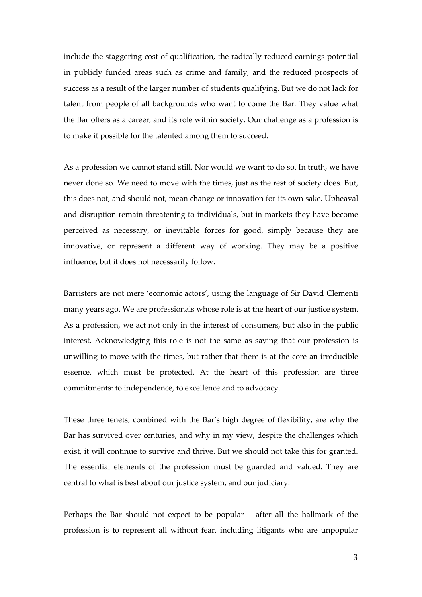include the staggering cost of qualification, the radically reduced earnings potential in publicly funded areas such as crime and family, and the reduced prospects of success as a result of the larger number of students qualifying. But we do not lack for talent from people of all backgrounds who want to come the Bar. They value what the Bar offers as a career, and its role within society. Our challenge as a profession is to make it possible for the talented among them to succeed.

As a profession we cannot stand still. Nor would we want to do so. In truth, we have never done so. We need to move with the times, just as the rest of society does. But, this does not, and should not, mean change or innovation for its own sake. Upheaval and disruption remain threatening to individuals, but in markets they have become perceived as necessary, or inevitable forces for good, simply because they are innovative, or represent a different way of working. They may be a positive influence, but it does not necessarily follow.

Barristers are not mere 'economic actors', using the language of Sir David Clementi many years ago. We are professionals whose role is at the heart of our justice system. As a profession, we act not only in the interest of consumers, but also in the public interest. Acknowledging this role is not the same as saying that our profession is unwilling to move with the times, but rather that there is at the core an irreducible essence, which must be protected. At the heart of this profession are three commitments: to independence, to excellence and to advocacy.

These three tenets, combined with the Bar's high degree of flexibility, are why the Bar has survived over centuries, and why in my view, despite the challenges which exist, it will continue to survive and thrive. But we should not take this for granted. The essential elements of the profession must be guarded and valued. They are central to what is best about our justice system, and our judiciary.

Perhaps the Bar should not expect to be popular – after all the hallmark of the profession is to represent all without fear, including litigants who are unpopular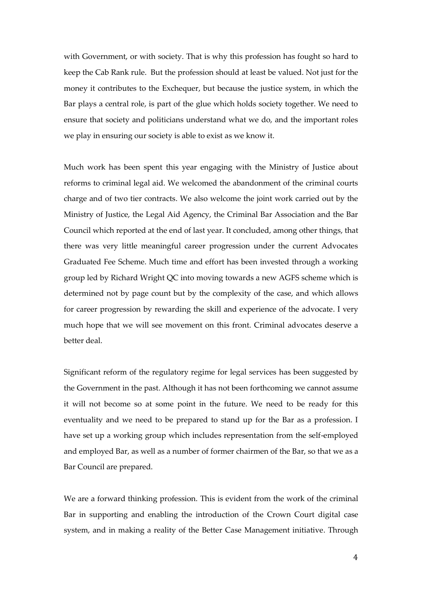with Government, or with society. That is why this profession has fought so hard to keep the Cab Rank rule. But the profession should at least be valued. Not just for the money it contributes to the Exchequer, but because the justice system, in which the Bar plays a central role, is part of the glue which holds society together. We need to ensure that society and politicians understand what we do, and the important roles we play in ensuring our society is able to exist as we know it.

Much work has been spent this year engaging with the Ministry of Justice about reforms to criminal legal aid. We welcomed the abandonment of the criminal courts charge and of two tier contracts. We also welcome the joint work carried out by the Ministry of Justice, the Legal Aid Agency, the Criminal Bar Association and the Bar Council which reported at the end of last year. It concluded, among other things, that there was very little meaningful career progression under the current Advocates Graduated Fee Scheme. Much time and effort has been invested through a working group led by Richard Wright QC into moving towards a new AGFS scheme which is determined not by page count but by the complexity of the case, and which allows for career progression by rewarding the skill and experience of the advocate. I very much hope that we will see movement on this front. Criminal advocates deserve a better deal.

Significant reform of the regulatory regime for legal services has been suggested by the Government in the past. Although it has not been forthcoming we cannot assume it will not become so at some point in the future. We need to be ready for this eventuality and we need to be prepared to stand up for the Bar as a profession. I have set up a working group which includes representation from the self-employed and employed Bar, as well as a number of former chairmen of the Bar, so that we as a Bar Council are prepared.

We are a forward thinking profession. This is evident from the work of the criminal Bar in supporting and enabling the introduction of the Crown Court digital case system, and in making a reality of the Better Case Management initiative. Through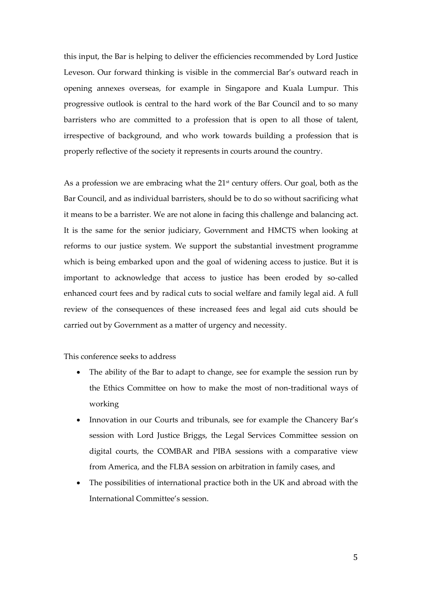this input, the Bar is helping to deliver the efficiencies recommended by Lord Justice Leveson. Our forward thinking is visible in the commercial Bar's outward reach in opening annexes overseas, for example in Singapore and Kuala Lumpur. This progressive outlook is central to the hard work of the Bar Council and to so many barristers who are committed to a profession that is open to all those of talent, irrespective of background, and who work towards building a profession that is properly reflective of the society it represents in courts around the country.

As a profession we are embracing what the  $21<sup>st</sup>$  century offers. Our goal, both as the Bar Council, and as individual barristers, should be to do so without sacrificing what it means to be a barrister. We are not alone in facing this challenge and balancing act. It is the same for the senior judiciary, Government and HMCTS when looking at reforms to our justice system. We support the substantial investment programme which is being embarked upon and the goal of widening access to justice. But it is important to acknowledge that access to justice has been eroded by so-called enhanced court fees and by radical cuts to social welfare and family legal aid. A full review of the consequences of these increased fees and legal aid cuts should be carried out by Government as a matter of urgency and necessity.

This conference seeks to address

- The ability of the Bar to adapt to change, see for example the session run by the Ethics Committee on how to make the most of non-traditional ways of working
- Innovation in our Courts and tribunals, see for example the Chancery Bar's session with Lord Justice Briggs, the Legal Services Committee session on digital courts, the COMBAR and PIBA sessions with a comparative view from America, and the FLBA session on arbitration in family cases, and
- The possibilities of international practice both in the UK and abroad with the International Committee's session.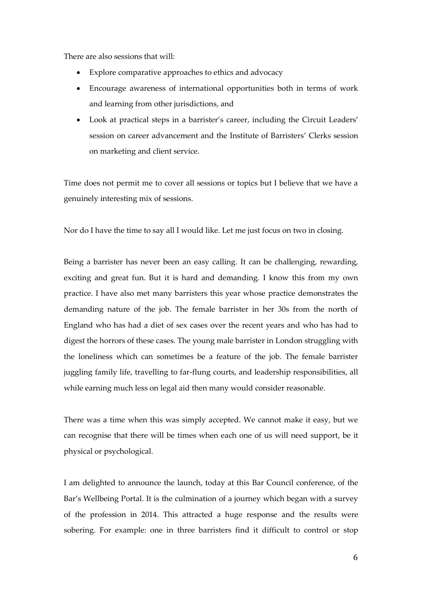There are also sessions that will:

- Explore comparative approaches to ethics and advocacy
- Encourage awareness of international opportunities both in terms of work and learning from other jurisdictions, and
- Look at practical steps in a barrister's career, including the Circuit Leaders' session on career advancement and the Institute of Barristers' Clerks session on marketing and client service.

Time does not permit me to cover all sessions or topics but I believe that we have a genuinely interesting mix of sessions.

Nor do I have the time to say all I would like. Let me just focus on two in closing.

Being a barrister has never been an easy calling. It can be challenging, rewarding, exciting and great fun. But it is hard and demanding. I know this from my own practice. I have also met many barristers this year whose practice demonstrates the demanding nature of the job. The female barrister in her 30s from the north of England who has had a diet of sex cases over the recent years and who has had to digest the horrors of these cases. The young male barrister in London struggling with the loneliness which can sometimes be a feature of the job. The female barrister juggling family life, travelling to far-flung courts, and leadership responsibilities, all while earning much less on legal aid then many would consider reasonable.

There was a time when this was simply accepted. We cannot make it easy, but we can recognise that there will be times when each one of us will need support, be it physical or psychological.

I am delighted to announce the launch, today at this Bar Council conference, of the Bar's Wellbeing Portal. It is the culmination of a journey which began with a survey of the profession in 2014. This attracted a huge response and the results were sobering. For example: one in three barristers find it difficult to control or stop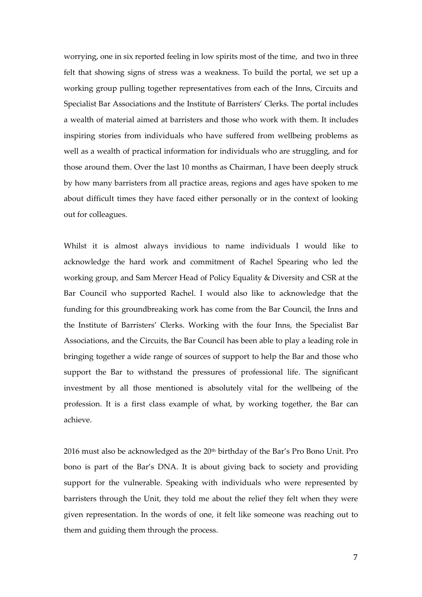worrying, one in six reported feeling in low spirits most of the time, and two in three felt that showing signs of stress was a weakness. To build the portal, we set up a working group pulling together representatives from each of the Inns, Circuits and Specialist Bar Associations and the Institute of Barristers' Clerks. The portal includes a wealth of material aimed at barristers and those who work with them. It includes inspiring stories from individuals who have suffered from wellbeing problems as well as a wealth of practical information for individuals who are struggling, and for those around them. Over the last 10 months as Chairman, I have been deeply struck by how many barristers from all practice areas, regions and ages have spoken to me about difficult times they have faced either personally or in the context of looking out for colleagues.

Whilst it is almost always invidious to name individuals I would like to acknowledge the hard work and commitment of Rachel Spearing who led the working group, and Sam Mercer Head of Policy Equality & Diversity and CSR at the Bar Council who supported Rachel. I would also like to acknowledge that the funding for this groundbreaking work has come from the Bar Council, the Inns and the Institute of Barristers' Clerks. Working with the four Inns, the Specialist Bar Associations, and the Circuits, the Bar Council has been able to play a leading role in bringing together a wide range of sources of support to help the Bar and those who support the Bar to withstand the pressures of professional life. The significant investment by all those mentioned is absolutely vital for the wellbeing of the profession. It is a first class example of what, by working together, the Bar can achieve.

2016 must also be acknowledged as the 20th birthday of the Bar's Pro Bono Unit. Pro bono is part of the Bar's DNA. It is about giving back to society and providing support for the vulnerable. Speaking with individuals who were represented by barristers through the Unit, they told me about the relief they felt when they were given representation. In the words of one, it felt like someone was reaching out to them and guiding them through the process.